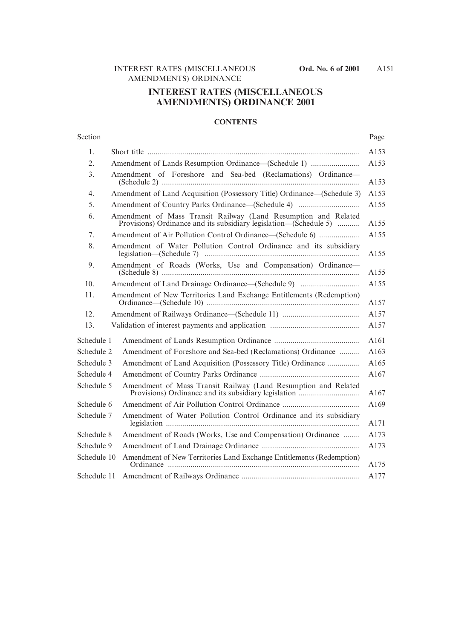# **INTEREST RATES (MISCELLANEOUS AMENDMENTS) ORDINANCE 2001**

## **CONTENTS**

#### Section Page

| 1.          |                                                                                                                                     |
|-------------|-------------------------------------------------------------------------------------------------------------------------------------|
| 2.          |                                                                                                                                     |
| 3.          | Amendment of Foreshore and Sea-bed (Reclamations) Ordinance-                                                                        |
| 4.          | Amendment of Land Acquisition (Possessory Title) Ordinance—(Schedule 3)                                                             |
| 5.          |                                                                                                                                     |
| 6.          | Amendment of Mass Transit Railway (Land Resumption and Related<br>Provisions) Ordinance and its subsidiary legislation—(Schedule 5) |
| 7.          | Amendment of Air Pollution Control Ordinance—(Schedule 6)                                                                           |
| 8.          | Amendment of Water Pollution Control Ordinance and its subsidiary                                                                   |
| 9.          | Amendment of Roads (Works, Use and Compensation) Ordinance-                                                                         |
| 10.         |                                                                                                                                     |
| 11.         | Amendment of New Territories Land Exchange Entitlements (Redemption)                                                                |
| 12.         |                                                                                                                                     |
| 13.         |                                                                                                                                     |
| Schedule 1  |                                                                                                                                     |
| Schedule 2  | Amendment of Foreshore and Sea-bed (Reclamations) Ordinance                                                                         |
| Schedule 3  | Amendment of Land Acquisition (Possessory Title) Ordinance                                                                          |
| Schedule 4  |                                                                                                                                     |
| Schedule 5  | Amendment of Mass Transit Railway (Land Resumption and Related<br>Provisions) Ordinance and its subsidiary legislation              |
| Schedule 6  |                                                                                                                                     |
| Schedule 7  | Amendment of Water Pollution Control Ordinance and its subsidiary                                                                   |
| Schedule 8  | Amendment of Roads (Works, Use and Compensation) Ordinance                                                                          |
| Schedule 9  |                                                                                                                                     |
| Schedule 10 | Amendment of New Territories Land Exchange Entitlements (Redemption)                                                                |
| Schedule 11 |                                                                                                                                     |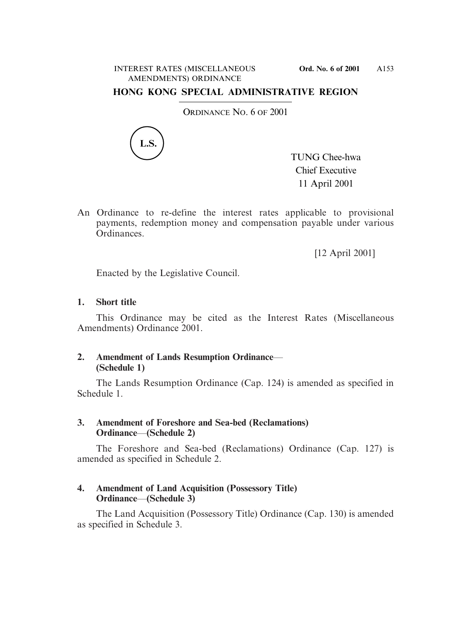# **HONG KONG SPECIAL ADMINISTRATIVE REGION**

ORDINANCE NO. 6 OF 2001



TUNG Chee-hwa Chief Executive 11 April 2001

An Ordinance to re-define the interest rates applicable to provisional payments, redemption money and compensation payable under various Ordinances.

[12 April 2001]

Enacted by the Legislative Council.

## **1. Short title**

This Ordinance may be cited as the Interest Rates (Miscellaneous Amendments) Ordinance 2001.

# **2. Amendment of Lands Resumption Ordinance**— **(Schedule 1)**

The Lands Resumption Ordinance (Cap. 124) is amended as specified in Schedule 1.

# **3. Amendment of Foreshore and Sea-bed (Reclamations) Ordinance**—**(Schedule 2)**

The Foreshore and Sea-bed (Reclamations) Ordinance (Cap. 127) is amended as specified in Schedule 2.

# **4. Amendment of Land Acquisition (Possessory Title) Ordinance**—**(Schedule 3)**

The Land Acquisition (Possessory Title) Ordinance (Cap. 130) is amended as specified in Schedule 3.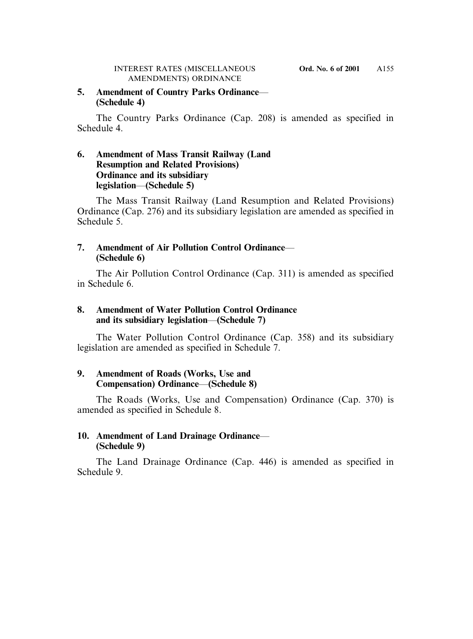# **5. Amendment of Country Parks Ordinance**— **(Schedule 4)**

The Country Parks Ordinance (Cap. 208) is amended as specified in Schedule 4.

# **6. Amendment of Mass Transit Railway (Land Resumption and Related Provisions) Ordinance and its subsidiary legislation**—**(Schedule 5)**

The Mass Transit Railway (Land Resumption and Related Provisions) Ordinance (Cap. 276) and its subsidiary legislation are amended as specified in Schedule 5.

# **7. Amendment of Air Pollution Control Ordinance**— **(Schedule 6)**

The Air Pollution Control Ordinance (Cap. 311) is amended as specified in Schedule 6.

# **8. Amendment of Water Pollution Control Ordinance and its subsidiary legislation**—**(Schedule 7)**

The Water Pollution Control Ordinance (Cap. 358) and its subsidiary legislation are amended as specified in Schedule 7.

# **9. Amendment of Roads (Works, Use and Compensation) Ordinance**—**(Schedule 8)**

The Roads (Works, Use and Compensation) Ordinance (Cap. 370) is amended as specified in Schedule 8.

# **10. Amendment of Land Drainage Ordinance**— **(Schedule 9)**

The Land Drainage Ordinance (Cap. 446) is amended as specified in Schedule 9.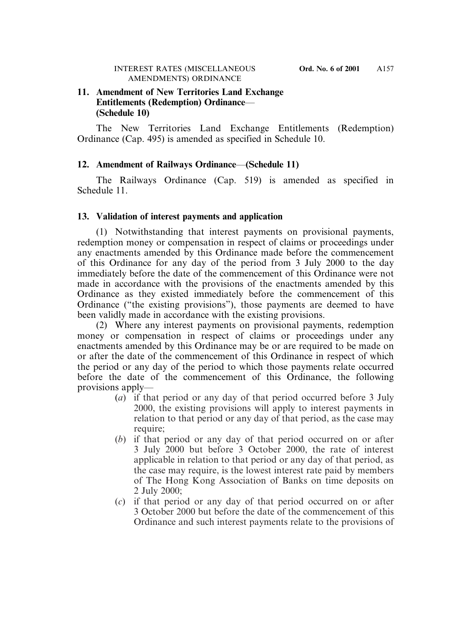## **11. Amendment of New Territories Land Exchange Entitlements (Redemption) Ordinance**— **(Schedule 10)**

The New Territories Land Exchange Entitlements (Redemption) Ordinance (Cap. 495) is amended as specified in Schedule 10.

## **12. Amendment of Railways Ordinance**—**(Schedule 11)**

The Railways Ordinance (Cap. 519) is amended as specified in Schedule 11.

## **13. Validation of interest payments and application**

(1) Notwithstanding that interest payments on provisional payments, redemption money or compensation in respect of claims or proceedings under any enactments amended by this Ordinance made before the commencement of this Ordinance for any day of the period from 3 July 2000 to the day immediately before the date of the commencement of this Ordinance were not made in accordance with the provisions of the enactments amended by this Ordinance as they existed immediately before the commencement of this Ordinance ("the existing provisions"), those payments are deemed to have been validly made in accordance with the existing provisions.

(2) Where any interest payments on provisional payments, redemption money or compensation in respect of claims or proceedings under any enactments amended by this Ordinance may be or are required to be made on or after the date of the commencement of this Ordinance in respect of which the period or any day of the period to which those payments relate occurred before the date of the commencement of this Ordinance, the following provisions apply—

- (*a*) if that period or any day of that period occurred before 3 July 2000, the existing provisions will apply to interest payments in relation to that period or any day of that period, as the case may require;
- (*b*) if that period or any day of that period occurred on or after 3 July 2000 but before 3 October 2000, the rate of interest applicable in relation to that period or any day of that period, as the case may require, is the lowest interest rate paid by members of The Hong Kong Association of Banks on time deposits on 2 July 2000;
- (*c*) if that period or any day of that period occurred on or after 3 October 2000 but before the date of the commencement of this Ordinance and such interest payments relate to the provisions of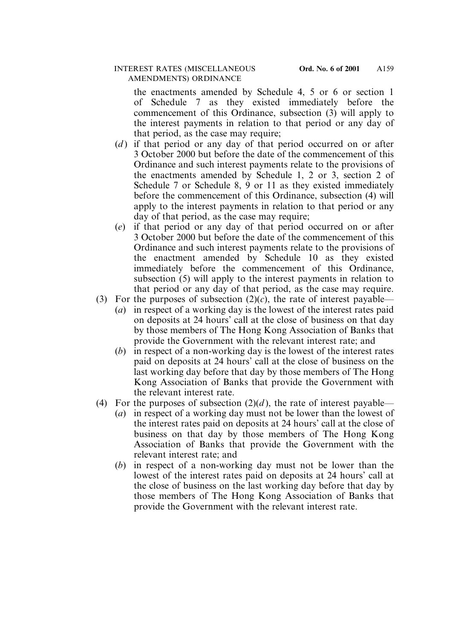the enactments amended by Schedule 4, 5 or 6 or section 1 of Schedule 7 as they existed immediately before the commencement of this Ordinance, subsection (3) will apply to the interest payments in relation to that period or any day of that period, as the case may require;

- (*d*) if that period or any day of that period occurred on or after 3 October 2000 but before the date of the commencement of this Ordinance and such interest payments relate to the provisions of the enactments amended by Schedule 1, 2 or 3, section 2 of Schedule 7 or Schedule 8, 9 or 11 as they existed immediately before the commencement of this Ordinance, subsection (4) will apply to the interest payments in relation to that period or any day of that period, as the case may require;
- (*e*) if that period or any day of that period occurred on or after 3 October 2000 but before the date of the commencement of this Ordinance and such interest payments relate to the provisions of the enactment amended by Schedule 10 as they existed immediately before the commencement of this Ordinance, subsection (5) will apply to the interest payments in relation to that period or any day of that period, as the case may require.
- (3) For the purposes of subsection  $(2)(c)$ , the rate of interest payable—
	- (*a*) in respect of a working day is the lowest of the interest rates paid on deposits at 24 hours' call at the close of business on that day by those members of The Hong Kong Association of Banks that provide the Government with the relevant interest rate; and
	- (*b*) in respect of a non-working day is the lowest of the interest rates paid on deposits at 24 hours' call at the close of business on the last working day before that day by those members of The Hong Kong Association of Banks that provide the Government with the relevant interest rate.
- (4) For the purposes of subsection  $(2)(d)$ , the rate of interest payable—
	- (*a*) in respect of a working day must not be lower than the lowest of the interest rates paid on deposits at 24 hours' call at the close of business on that day by those members of The Hong Kong Association of Banks that provide the Government with the relevant interest rate; and
	- (*b*) in respect of a non-working day must not be lower than the lowest of the interest rates paid on deposits at 24 hours' call at the close of business on the last working day before that day by those members of The Hong Kong Association of Banks that provide the Government with the relevant interest rate.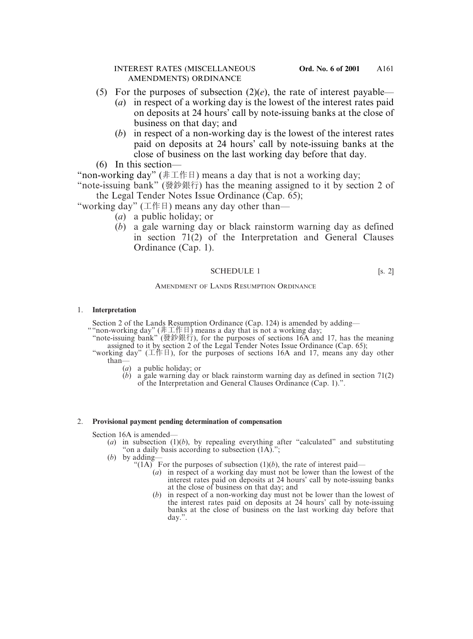- (5) For the purposes of subsection  $(2)(e)$ , the rate of interest payable—
	- (*a*) in respect of a working day is the lowest of the interest rates paid on deposits at 24 hours' call by note-issuing banks at the close of business on that day; and
	- (*b*) in respect of a non-working day is the lowest of the interest rates paid on deposits at 24 hours' call by note-issuing banks at the close of business on the last working day before that day.
- (6) In this section—

"non-working day" (非工作日) means a day that is not a working day;

"note-issuing bank" (發鈔銀行) has the meaning assigned to it by section 2 of the Legal Tender Notes Issue Ordinance (Cap. 65);

"working day" (工作日) means any day other than—

- (*a*) a public holiday; or
- (*b*) a gale warning day or black rainstorm warning day as defined in section 71(2) of the Interpretation and General Clauses Ordinance (Cap. 1).

## SCHEDULE 1 [s. 2]

### AMENDMENT OF LANDS RESUMPTION ORDINANCE

### 1. **Interpretation**

Section 2 of the Lands Resumption Ordinance (Cap. 124) is amended by adding—

- ""non-working day" (非工作日) means a day that is not a working day;
	- "note-issuing bank" (發鈔銀行), for the purposes of sections 16A and 17, has the meaning assigned to it by section 2 of the Legal Tender Notes Issue Ordinance (Cap. 65);
	- "working day" (工作日), for the purposes of sections 16A and 17, means any day other than—
		- (*a*) a public holiday; or
		- $(b)$  a gale warning day or black rainstorm warning day as defined in section 71(2) of the Interpretation and General Clauses Ordinance (Cap. 1).".

### 2. **Provisional payment pending determination of compensation**

Section 16A is amended—

- (*a*) in subsection (1)(*b*), by repealing everything after "calculated" and substituting "on a daily basis according to subsection (1A).";
- (*b*) by adding—
	- "(1A) For the purposes of subsection  $(1)(b)$ , the rate of interest paid—
		- (*a*) in respect of a working day must not be lower than the lowest of the interest rates paid on deposits at 24 hours' call by note-issuing banks at the close of business on that day; and
		- (*b*) in respect of a non-working day must not be lower than the lowest of the interest rates paid on deposits at 24 hours' call by note-issuing banks at the close of business on the last working day before that day.".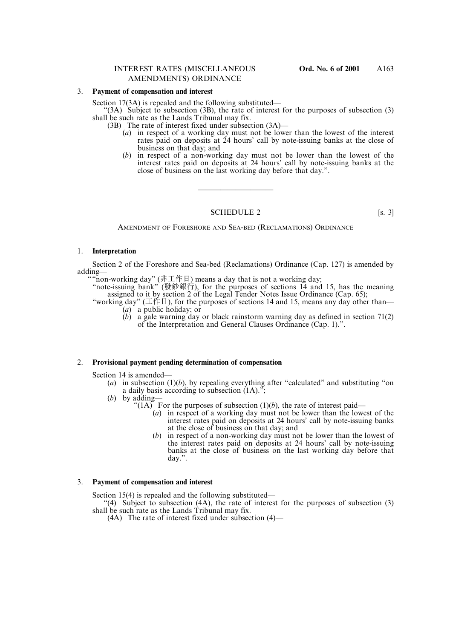Section 17(3A) is repealed and the following substituted—

- "(3A) Subject to subsection (3B), the rate of interest for the purposes of subsection (3) shall be such rate as the Lands Tribunal may fix.
	- (3B) The rate of interest fixed under subsection (3A)—
		- (*a*) in respect of a working day must not be lower than the lowest of the interest rates paid on deposits at 24 hours' call by note-issuing banks at the close of business on that day; and
		- (*b*) in respect of a non-working day must not be lower than the lowest of the interest rates paid on deposits at 24 hours' call by note-issuing banks at the close of business on the last working day before that day.".

#### SCHEDULE 2 [s. 3]

——————————

AMENDMENT OF FORESHORE AND SEA-BED (RECLAMATIONS) ORDINANCE

#### 1. **Interpretation**

Section 2 of the Foreshore and Sea-bed (Reclamations) Ordinance (Cap. 127) is amended by adding—

"non-working day" (非工作日) means a day that is not a working day;

"note-issuing bank" (發鈔銀行), for the purposes of sections 14 and 15, has the meaning assigned to it by section 2 of the Legal Tender Notes Issue Ordinance (Cap. 65);

- "working day" ( $\pm$  /  $\sharp$   $\uparrow$ ), for the purposes of sections 14 and 15, means any day other than—
	- (*a*) a public holiday; or
	- (*b*) a gale warning day or black rainstorm warning day as defined in section 71(2) of the Interpretation and General Clauses Ordinance (Cap. 1).".

#### 2. **Provisional payment pending determination of compensation**

Section 14 is amended—

- (*a*) in subsection  $(1)(b)$ , by repealing everything after "calculated" and substituting "on a daily basis according to subsection (1A).";
- (*b*) by adding—
	- "(1A) For the purposes of subsection  $(1)(b)$ , the rate of interest paid—
		- (*a*) in respect of a working day must not be lower than the lowest of the interest rates paid on deposits at 24 hours' call by note-issuing banks at the close of business on that day; and
		- (*b*) in respect of a non-working day must not be lower than the lowest of the interest rates paid on deposits at 24 hours' call by note-issuing banks at the close of business on the last working day before that day.".

#### 3. **Payment of compensation and interest**

Section 15(4) is repealed and the following substituted—

"(4) Subject to subsection (4A), the rate of interest for the purposes of subsection (3) shall be such rate as the Lands Tribunal may fix.

(4A) The rate of interest fixed under subsection (4)—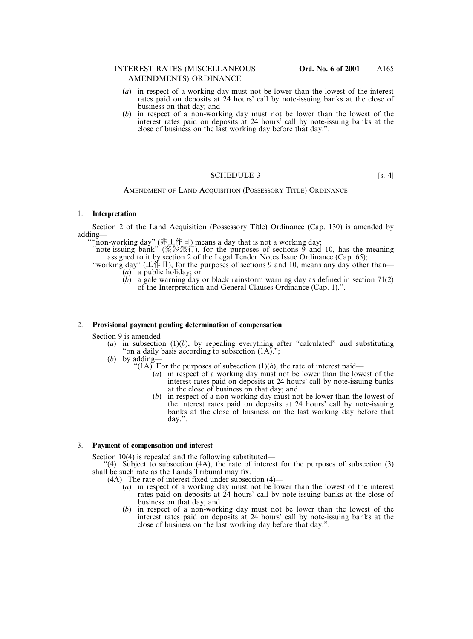- (*a*) in respect of a working day must not be lower than the lowest of the interest rates paid on deposits at 24 hours' call by note-issuing banks at the close of business on that day; and
- (*b*) in respect of a non-working day must not be lower than the lowest of the interest rates paid on deposits at 24 hours' call by note-issuing banks at the close of business on the last working day before that day.".

### SCHEDULE 3 [s. 4]

——————————

#### AMENDMENT OF LAND ACQUISITION (POSSESSORY TITLE) ORDINANCE

#### 1. **Interpretation**

Section 2 of the Land Acquisition (Possessory Title) Ordinance (Cap. 130) is amended by adding—

""non-working day" (非工作日) means a day that is not a working day;

- "note-issuing bank" (發鈔銀行), for the purposes of sections  $\overline{9}$  and 10, has the meaning assigned to it by section 2 of the Legal Tender Notes Issue Ordinance (Cap. 65);
- "working day" ( $\pm$   $\sqrt{F}$   $\pm$  ), for the purposes of sections 9 and 10, means any day other than— (*a*) a public holiday; or
	-
	- (*b*) a gale warning day or black rainstorm warning day as defined in section 71(2) of the Interpretation and General Clauses Ordinance (Cap. 1).".

#### 2. **Provisional payment pending determination of compensation**

Section 9 is amended—

- (*a*) in subsection (1)(*b*), by repealing everything after "calculated" and substituting "on a daily basis according to subsection (1A).";
- (*b*) by adding—
	- "(1A) For the purposes of subsection (1)(*b*), the rate of interest paid—
		- (*a*) in respect of a working day must not be lower than the lowest of the interest rates paid on deposits at 24 hours' call by note-issuing banks at the close of business on that day; and
		- (*b*) in respect of a non-working day must not be lower than the lowest of the interest rates paid on deposits at 24 hours' call by note-issuing banks at the close of business on the last working day before that day.".

#### 3. **Payment of compensation and interest**

Section 10(4) is repealed and the following substituted—

"(4) Subject to subsection (4A), the rate of interest for the purposes of subsection  $(3)$ shall be such rate as the Lands Tribunal may fix.

(4A) The rate of interest fixed under subsection (4)—

- (*a*) in respect of a working day must not be lower than the lowest of the interest rates paid on deposits at 24 hours' call by note-issuing banks at the close of business on that day; and
- (*b*) in respect of a non-working day must not be lower than the lowest of the interest rates paid on deposits at 24 hours' call by note-issuing banks at the close of business on the last working day before that day.".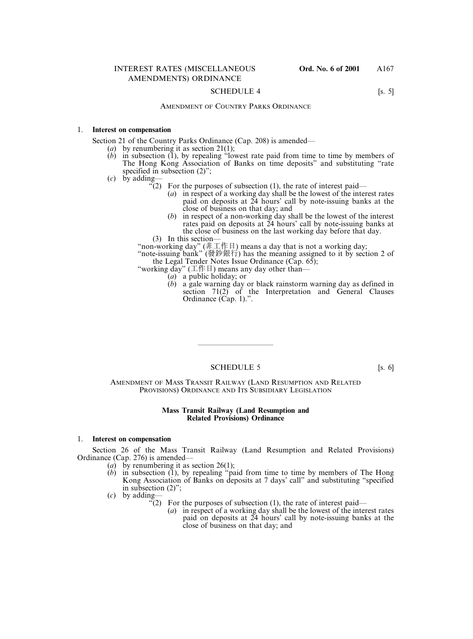#### SCHEDULE 4 [s. 5]

### AMENDMENT OF COUNTRY PARKS ORDINANCE

#### 1. **Interest on compensation**

Section 21 of the Country Parks Ordinance (Cap. 208) is amended—

- (*a*) by renumbering it as section 21(1);
- (*b*) in subsection (1), by repealing "lowest rate paid from time to time by members of The Hong Kong Association of Banks on time deposits" and substituting "rate specified in subsection  $(2)$ ";
- (*c*) by adding—
	- $\mathcal{F}(2)$  For the purposes of subsection (1), the rate of interest paid—
		- (*a*) in respect of a working day shall be the lowest of the interest rates paid on deposits at 24 hours' call by note-issuing banks at the close of business on that day; and
	- (*b*) in respect of a non-working day shall be the lowest of the interest rates paid on deposits at 24 hours' call by note-issuing banks at the close of business on the last working day before that day. (3) In this section—
	- "non-working day" (非工作日) means a day that is not a working day;

"note-issuing bank" (發鈔銀行) has the meaning assigned to it by section 2 of the Legal Tender Notes Issue Ordinance (Cap. 65);

- "working day" ( $\pm$  /# $\pm$ ) means any day other than-
	- (*a*) a public holiday; or
	- (*b*) a gale warning day or black rainstorm warning day as defined in section  $71(2)$  of the Interpretation and General Clauses Ordinance (Cap. 1).".

#### SCHEDULE 5 [s. 6]

——————————

AMENDMENT OF MASS TRANSIT RAILWAY (LAND RESUMPTION AND RELATED PROVISIONS) ORDINANCE AND ITS SUBSIDIARY LEGISLATION

#### **Mass Transit Railway (Land Resumption and Related Provisions) Ordinance**

#### 1. **Interest on compensation**

Section 26 of the Mass Transit Railway (Land Resumption and Related Provisions) Ordinance (Cap. 276) is amended—

- (*a*) by renumbering it as section 26(1);
- (*b*) in subsection (1), by repealing "paid from time to time by members of The Hong Kong Association of Banks on deposits at 7 days' call" and substituting "specified in subsection (2)";
- (*c*) by adding—
	- $\zeta(2)$  For the purposes of subsection (1), the rate of interest paid—
		- (*a*) in respect of a working day shall be the lowest of the interest rates paid on deposits at 24 hours' call by note-issuing banks at the close of business on that day; and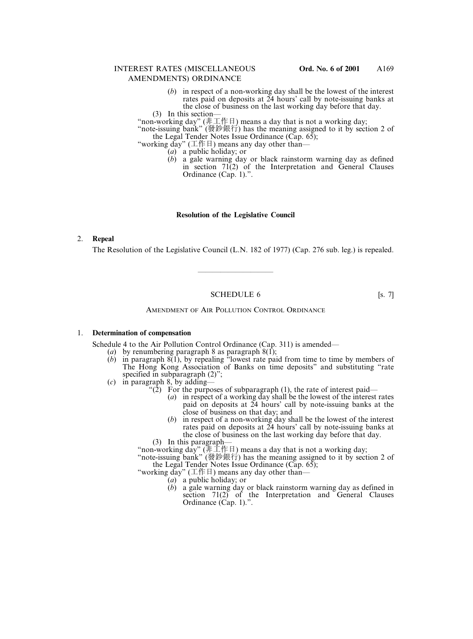- (*b*) in respect of a non-working day shall be the lowest of the interest rates paid on deposits at 24 hours' call by note-issuing banks at the close of business on the last working day before that day.
- (3) In this section—

"non-working day" (非工作日) means a day that is not a working day;

"note-issuing bank" (發鈔銀行) has the meaning assigned to it by section 2 of the Legal Tender Notes Issue Ordinance ( $\tilde{Cap. 65}$ );

"working day" (工作日) means any day other than—

(*a*) a public holiday; or

(*b*) a gale warning day or black rainstorm warning day as defined in section 71(2) of the Interpretation and General Clauses Ordinance (Cap. 1).".

### **Resolution of the Legislative Council**

### 2. **Repeal**

The Resolution of the Legislative Council (L.N. 182 of 1977) (Cap. 276 sub. leg.) is repealed.

### SCHEDULE 6 [s. 7]

——————————

#### AMENDMENT OF AIR POLLUTION CONTROL ORDINANCE

#### 1. **Determination of compensation**

Schedule 4 to the Air Pollution Control Ordinance (Cap. 311) is amended—

- (*a*) by renumbering paragraph 8 as paragraph 8(1);
- (*b*) in paragraph 8(1), by repealing "lowest rate paid from time to time by members of The Hong Kong Association of Banks on time deposits" and substituting "rate specified in subparagraph  $(2)$ ";
- (*c*) in paragraph 8, by adding—
	- "(2) For the purposes of subparagraph (1), the rate of interest paid—
		- (*a*) in respect of a working day shall be the lowest of the interest rates paid on deposits at 24 hours' call by note-issuing banks at the close of business on that day; and
		- (*b*) in respect of a non-working day shall be the lowest of the interest rates paid on deposits at 24 hours' call by note-issuing banks at the close of business on the last working day before that day.
	- (3) In this paragraph-

"non-working day" (非工作日) means a day that is not a working day;

"note-issuing bank" (發鈔銀行) has the meaning assigned to it by section 2 of the Legal Tender Notes Issue Ordinance (Cap. 65);

"working day"  $( \pm \n\# \exists )$  means any day other than-

- (*a*) a public holiday; or
- (*b*) a gale warning day or black rainstorm warning day as defined in section 71(2) of the Interpretation and General Clauses Ordinance (Cap. 1).".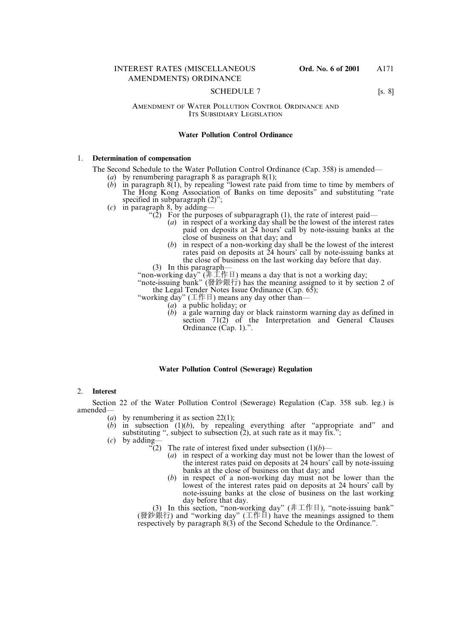#### SCHEDULE 7 [s. 8]

#### AMENDMENT OF WATER POLLUTION CONTROL ORDINANCE AND ITS SUBSIDIARY LEGISLATION

#### **Water Pollution Control Ordinance**

#### 1. **Determination of compensation**

The Second Schedule to the Water Pollution Control Ordinance (Cap. 358) is amended—

- (*a*) by renumbering paragraph 8 as paragraph 8(1);
- $(b)$  in paragraph  $8(1)$ , by repealing "lowest rate paid from time to time by members of The Hong Kong Association of Banks on time deposits" and substituting "rate specified in subparagraph  $(2)$ ";
- (*c*) in paragraph 8, by adding—
	- "(2) For the purposes of subparagraph (1), the rate of interest paid—
		- (*a*) in respect of a working day shall be the lowest of the interest rates paid on deposits at 24 hours' call by note-issuing banks at the close of business on that day; and
		- (*b*) in respect of a non-working day shall be the lowest of the interest rates paid on deposits at 24 hours' call by note-issuing banks at the close of business on the last working day before that day.
	- (3) In this paragraph—

"non-working day" (非工作日) means a day that is not a working day;

"note-issuing bank" (發鈔銀行) has the meaning assigned to it by section 2 of the Legal Tender Notes Issue Ordinance ( $\overline{Cap.65}$ );

- "working day" ( $\pm$ 作日) means any day other than-
	- (*a*) a public holiday; or
	- (*b*) a gale warning day or black rainstorm warning day as defined in section  $71(2)$  of the Interpretation and General Clauses Ordinance (Cap. 1).".

#### **Water Pollution Control (Sewerage) Regulation**

#### 2. **Interest**

Section 22 of the Water Pollution Control (Sewerage) Regulation (Cap. 358 sub. leg.) is amended—

- (*a*) by renumbering it as section 22(1);
- $(b)$  in subsection  $(1)(b)$ , by repealing everything after "appropriate and" and substituting ", subject to subsection  $(2)$ , at such rate as it may fix.";
- (*c*) by adding—
	- $\widetilde{f}(2)$  The rate of interest fixed under subsection  $(1)(b)$ 
		- (*a*) in respect of a working day must not be lower than the lowest of the interest rates paid on deposits at 24 hours' call by note-issuing banks at the close of business on that day; and
		- (*b*) in respect of a non-working day must not be lower than the lowest of the interest rates paid on deposits at 24 hours' call by note-issuing banks at the close of business on the last working day before that day.

(3) In this section, "non-working day" (非工作日), "note-issuing bank" (發鈔銀行) and "working day" (工作日) have the meanings assigned to them respectively by paragraph 8(3) of the Second Schedule to the Ordinance.".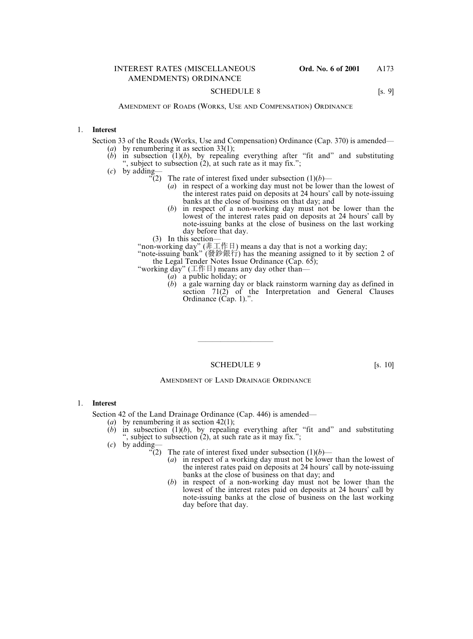#### SCHEDULE 8 [s. 9]

AMENDMENT OF ROADS (WORKS, USE AND COMPENSATION) ORDINANCE

#### 1. **Interest**

Section 33 of the Roads (Works, Use and Compensation) Ordinance (Cap. 370) is amended—

- (*a*) by renumbering it as section 33(1);
- $(b)$  in subsection  $(1)(b)$ , by repealing everything after "fit and" and substituting ", subject to subsection (2), at such rate as it may fix.";
- (*c*) by adding—
	- $\sqrt{\ }$ (2) The rate of interest fixed under subsection (1)(*b*)—
		- (*a*) in respect of a working day must not be lower than the lowest of the interest rates paid on deposits at 24 hours' call by note-issuing banks at the close of business on that day; and
		- (*b*) in respect of a non-working day must not be lower than the lowest of the interest rates paid on deposits at 24 hours' call by note-issuing banks at the close of business on the last working day before that day.
	- (3) In this section—

"non-working day" (非工作日) means a day that is not a working day;

"note-issuing bank" (發鈔銀行) has the meaning assigned to it by section 2 of the Legal Tender Notes Issue Ordinance (Cap. 65);

- "working day" ( $\pm$  /# $\pm$ ) means any day other than-
	- (*a*) a public holiday; or
	- (*b*) a gale warning day or black rainstorm warning day as defined in section  $71(2)$  of the Interpretation and General Clauses Ordinance (Cap. 1).".

### SCHEDULE 9 [s. 10]

——————————

#### AMENDMENT OF LAND DRAINAGE ORDINANCE

#### 1. **Interest**

Section 42 of the Land Drainage Ordinance (Cap. 446) is amended—

- (*a*) by renumbering it as section 42(1);
- (*b*) in subsection (1)(*b*), by repealing everything after "fit and" and substituting ", subject to subsection  $(2)$ , at such rate as it may fix.";
- (*c*) by adding—
	- $\sqrt[3]{(2)}$  The rate of interest fixed under subsection  $(1)(b)$ 
		- (*a*) in respect of a working day must not be lower than the lowest of the interest rates paid on deposits at 24 hours' call by note-issuing banks at the close of business on that day; and
		- (*b*) in respect of a non-working day must not be lower than the lowest of the interest rates paid on deposits at 24 hours' call by note-issuing banks at the close of business on the last working day before that day.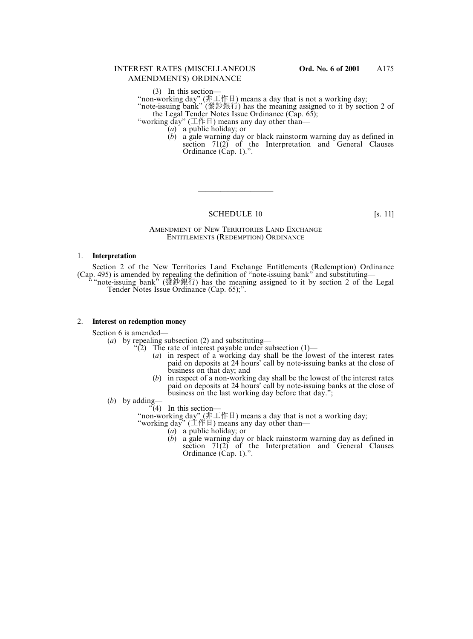(3) In this section—

"non-working day" (非工作日) means a day that is not a working day;

"note-issuing bank" (發鈔銀行) has the meaning assigned to it by section 2 of the Legal Tender Notes Issue Ordinance ( $\tilde{Cap. 65}$ );

"working day" (工作日) means any day other than—

(*a*) a public holiday; or

(*b*) a gale warning day or black rainstorm warning day as defined in section  $71(2)$  of the Interpretation and General Clauses Ordinance (Cap. 1).".

## SCHEDULE 10 [s. 11]

——————————

#### AMENDMENT OF NEW TERRITORIES LAND EXCHANGE ENTITLEMENTS (REDEMPTION) ORDINANCE

#### 1. **Interpretation**

Section 2 of the New Territories Land Exchange Entitlements (Redemption) Ordinance (Cap. 495) is amended by repealing the definition of "note-issuing bank" and substituting—

" "note-issuing bank" (發鈔銀行) has the meaning assigned to it by section 2 of the Legal Tender Notes Issue Ordinance (Cap. 65);".

#### 2. **Interest on redemption money**

Section 6 is amended—

(*a*) by repealing subsection (2) and substituting—

- "(2) The rate of interest payable under subsection  $(1)$ 
	- (*a*) in respect of a working day shall be the lowest of the interest rates paid on deposits at 24 hours' call by note-issuing banks at the close of business on that day; and
	- (*b*) in respect of a non-working day shall be the lowest of the interest rates paid on deposits at 24 hours' call by note-issuing banks at the close of business on the last working day before that day.";
- (*b*) by adding—
	- $\sqrt{4}$  In this section-

"non-working day" (非工作日) means a day that is not a working day:

"working day"  $(I \nleftrightarrow B)$  means any day other than—

(*a*) a public holiday; or

(*b*) a gale warning day or black rainstorm warning day as defined in section  $71(2)$  of the Interpretation and General Clauses Ordinance (Cap. 1).".